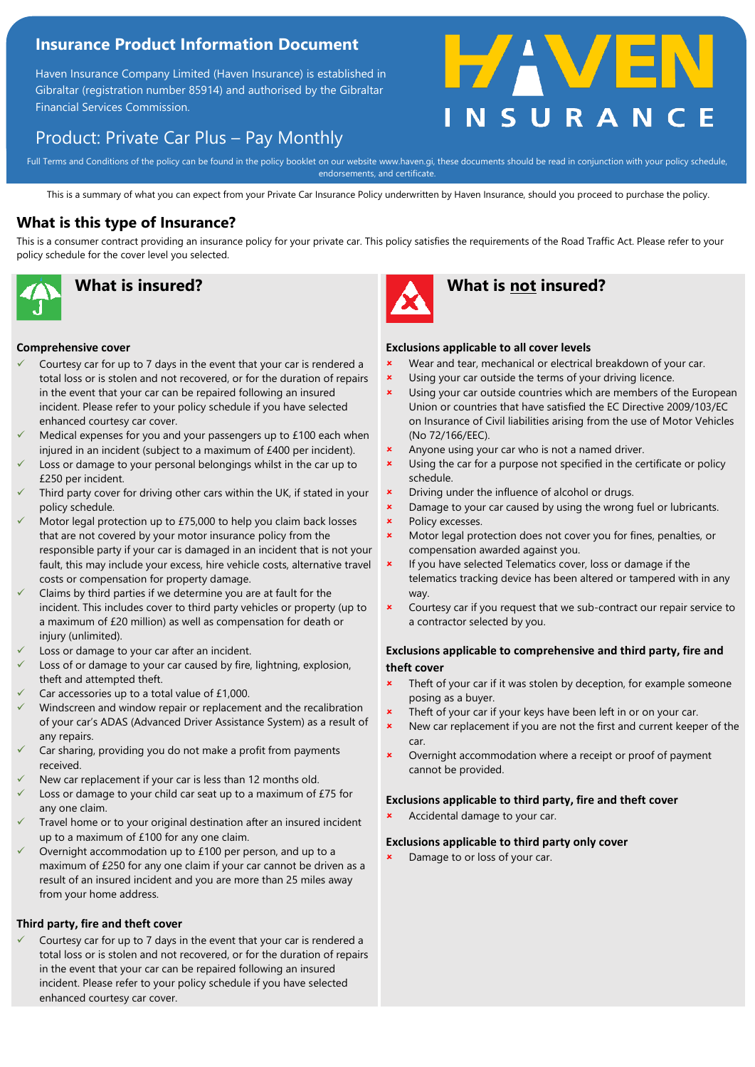# **Insurance Product Information Document**

Haven Insurance Company Limited (Haven Insurance) is established in Gibraltar (registration number 85914) and authorised by the Gibraltar Financial Services Commission.

# Product: Private Car Plus – Pay Monthly

#### Full Terms and Conditions of the policy can be found in the policy booklet on our website www.haven.gi, these documents should be read in conjunction with your policy schedule,<br>endorsements, and certificate endorsements, and certificate.

This is a summary of what you can expect from your Private Car Insurance Policy underwritten by Haven Insurance, should you proceed to purchase the policy.

### **What is this type of Insurance?**

This is a consumer contract providing an insurance policy for your private car. This policy satisfies the requirements of the Road Traffic Act. Please refer to your policy schedule for the cover level you selected.



#### **Comprehensive cover**

- Courtesy car for up to 7 days in the event that your car is rendered a total loss or is stolen and not recovered, or for the duration of repairs in the event that your car can be repaired following an insured incident. Please refer to your policy schedule if you have selected enhanced courtesy car cover.
- Medical expenses for you and your passengers up to £100 each when injured in an incident (subject to a maximum of £400 per incident).
- Loss or damage to your personal belongings whilst in the car up to £250 per incident.
- Third party cover for driving other cars within the UK, if stated in your policy schedule.
- Motor legal protection up to £75,000 to help you claim back losses that are not covered by your motor insurance policy from the responsible party if your car is damaged in an incident that is not your fault, this may include your excess, hire vehicle costs, alternative travel costs or compensation for property damage.
- Claims by third parties if we determine you are at fault for the incident. This includes cover to third party vehicles or property (up to a maximum of £20 million) as well as compensation for death or injury (unlimited).
- Loss or damage to your car after an incident.
- Loss of or damage to your car caused by fire, lightning, explosion, theft and attempted theft.
- Car accessories up to a total value of £1,000.
- Windscreen and window repair or replacement and the recalibration of your car's ADAS (Advanced Driver Assistance System) as a result of any repairs.
- Car sharing, providing you do not make a profit from payments received.
- New car replacement if your car is less than 12 months old.
- Loss or damage to your child car seat up to a maximum of £75 for any one claim.
- Travel home or to your original destination after an insured incident up to a maximum of £100 for any one claim.
- Overnight accommodation up to £100 per person, and up to a maximum of £250 for any one claim if your car cannot be driven as a result of an insured incident and you are more than 25 miles away from your home address.

### **Third party, fire and theft cover**

Courtesy car for up to 7 days in the event that your car is rendered a total loss or is stolen and not recovered, or for the duration of repairs in the event that your car can be repaired following an insured incident. Please refer to your policy schedule if you have selected enhanced courtesy car cover.



# **What is insured? What is not insured?**

#### **Exclusions applicable to all cover levels**

**\*** Wear and tear, mechanical or electrical breakdown of your car.

HAVE

- **x** Using your car outside the terms of your driving licence.
- **x** Using your car outside countries which are members of the European Union or countries that have satisfied the EC Directive 2009/103/EC on Insurance of Civil liabilities arising from the use of Motor Vehicles (No 72/166/EEC).
- **\*** Anyone using your car who is not a named driver.
- **\*** Using the car for a purpose not specified in the certificate or policy schedule.
- **\*** Driving under the influence of alcohol or drugs.
- **EXECUTE:** Damage to your car caused by using the wrong fuel or lubricants. Policy excesses.
- **\*** Motor legal protection does not cover you for fines, penalties, or compensation awarded against you.
- $\vert x \vert$  If you have selected Telematics cover, loss or damage if the telematics tracking device has been altered or tampered with in any way.
- **\*** Courtesy car if you request that we sub-contract our repair service to a contractor selected by you.

### **Exclusions applicable to comprehensive and third party, fire and theft cover**

- Theft of your car if it was stolen by deception, for example someone posing as a buyer.
- Theft of your car if your keys have been left in or on your car.
- New car replacement if you are not the first and current keeper of the car.
- **\*** Overnight accommodation where a receipt or proof of payment cannot be provided.

### **Exclusions applicable to third party, fire and theft cover**

Accidental damage to your car.

#### **Exclusions applicable to third party only cover**

Damage to or loss of your car.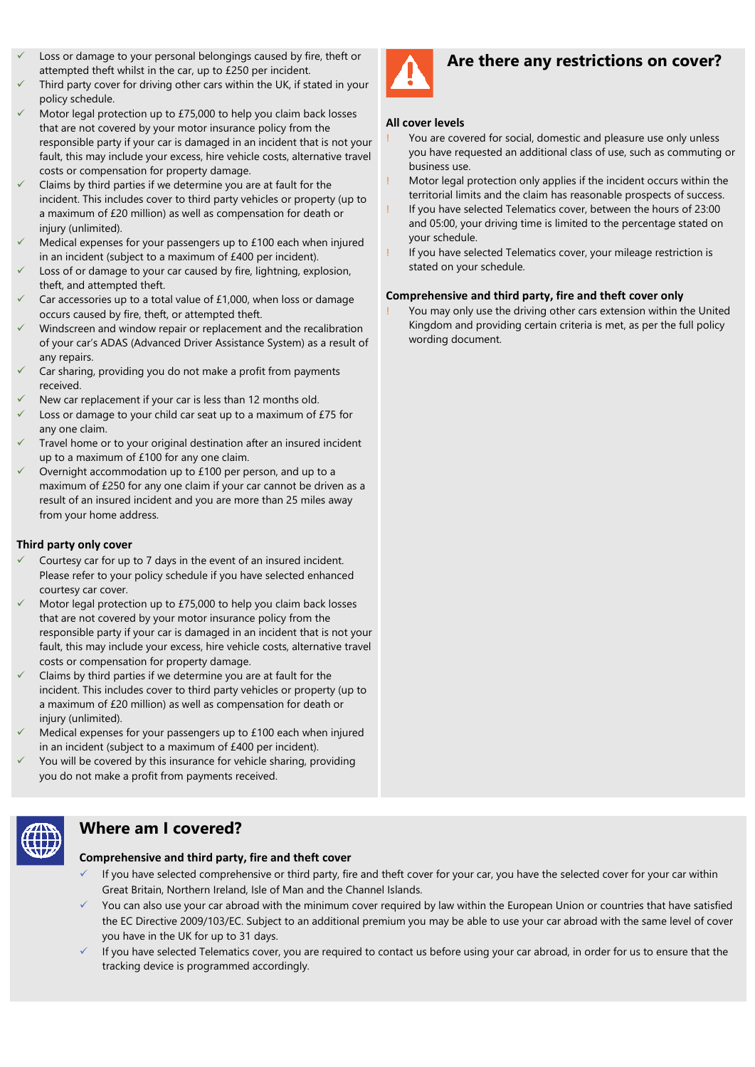- Loss or damage to your personal belongings caused by fire, theft or attempted theft whilst in the car, up to £250 per incident.
- Third party cover for driving other cars within the UK, if stated in your policy schedule.
- Motor legal protection up to £75,000 to help you claim back losses that are not covered by your motor insurance policy from the responsible party if your car is damaged in an incident that is not your fault, this may include your excess, hire vehicle costs, alternative travel costs or compensation for property damage.
- Claims by third parties if we determine you are at fault for the incident. This includes cover to third party vehicles or property (up to a maximum of £20 million) as well as compensation for death or injury (unlimited).
- Medical expenses for your passengers up to £100 each when injured in an incident (subject to a maximum of £400 per incident).
- Loss of or damage to your car caused by fire, lightning, explosion, theft, and attempted theft.
- Car accessories up to a total value of  $£1,000$ , when loss or damage occurs caused by fire, theft, or attempted theft.
- Windscreen and window repair or replacement and the recalibration of your car's ADAS (Advanced Driver Assistance System) as a result of any repairs.
- Car sharing, providing you do not make a profit from payments received.
- New car replacement if your car is less than 12 months old.
- Loss or damage to your child car seat up to a maximum of £75 for any one claim.
- Travel home or to your original destination after an insured incident up to a maximum of £100 for any one claim.
- Overnight accommodation up to £100 per person, and up to a maximum of £250 for any one claim if your car cannot be driven as a result of an insured incident and you are more than 25 miles away from your home address.

### **Third party only cover**

- Courtesy car for up to 7 days in the event of an insured incident. Please refer to your policy schedule if you have selected enhanced courtesy car cover.
- Motor legal protection up to £75,000 to help you claim back losses that are not covered by your motor insurance policy from the responsible party if your car is damaged in an incident that is not your fault, this may include your excess, hire vehicle costs, alternative travel costs or compensation for property damage.
- Claims by third parties if we determine you are at fault for the incident. This includes cover to third party vehicles or property (up to a maximum of £20 million) as well as compensation for death or iniury (unlimited).
- Medical expenses for your passengers up to £100 each when injured in an incident (subject to a maximum of £400 per incident).
- You will be covered by this insurance for vehicle sharing, providing you do not make a profit from payments received.



## **Where am I covered?**

### **Comprehensive and third party, fire and theft cover**

- If you have selected comprehensive or third party, fire and theft cover for your car, you have the selected cover for your car within Great Britain, Northern Ireland, Isle of Man and the Channel Islands.
- You can also use your car abroad with the minimum cover required by law within the European Union or countries that have satisfied the EC Directive 2009/103/EC. Subject to an additional premium you may be able to use your car abroad with the same level of cover you have in the UK for up to 31 days.
- If you have selected Telematics cover, you are required to contact us before using your car abroad, in order for us to ensure that the tracking device is programmed accordingly.



### **Are there any restrictions on cover?**

#### **All cover levels**

- You are covered for social, domestic and pleasure use only unless you have requested an additional class of use, such as commuting or business use.
- ! Motor legal protection only applies if the incident occurs within the territorial limits and the claim has reasonable prospects of success.
- If you have selected Telematics cover, between the hours of 23:00 and 05:00, your driving time is limited to the percentage stated on your schedule.
- If you have selected Telematics cover, your mileage restriction is stated on your schedule.

### **Comprehensive and third party, fire and theft cover only**

You may only use the driving other cars extension within the United Kingdom and providing certain criteria is met, as per the full policy wording document.